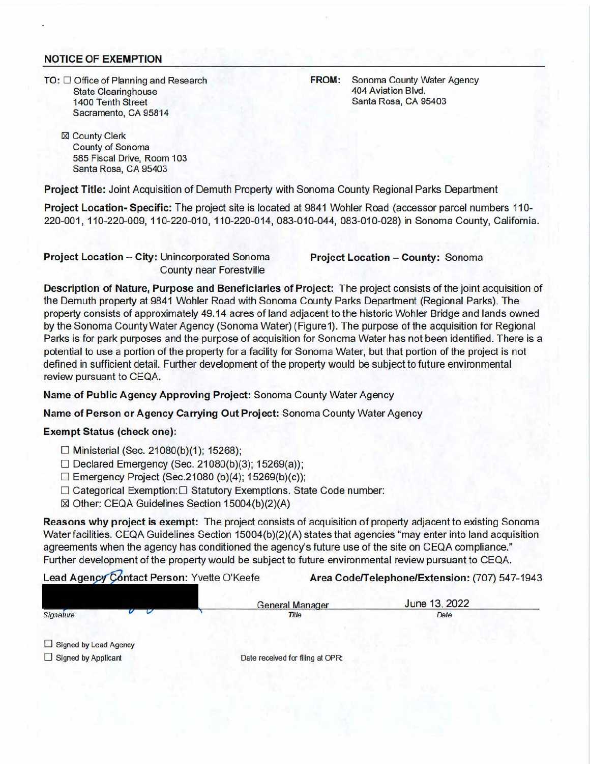## **NOTICE OF EXEMPTION**

.

 $TO: \Box$  Office of Planning and Research State Clearinghouse 1400 Tenth Street Sacramento, CA 95814

**FROM:** Sonoma County Water Agency 404 Aviation Blvd. Santa Rosa, CA 95403

⊠ County Clerk County of Sonoma 585 Fiscal Drive, Room 103 Santa Rosa, CA 95403

**Project Title:** Joint Acquisition of Demuth Property with Sonoma County Regional Parks Department

**Project Location-Specific:** The project site is located at 9841 Wohler Road (accessor parcel numbers 110- 220-001 , 110-220-009, 110-220-010, 110-220-014, 083-010-044, 083-010-028) in Sonoma County, California.

**Project Location - City:** Unincorporated Sonoma **Project Location - County:** Sonoma County near Forestville

**Description of Nature, Purpose and Beneficiaries of Project:** The project consists of the joint acquisition of the Demuth property at 9841 Wohler Road with Sonoma County Parks Department (Regional Parks). The property consists of approximately 49.14 acres of land adjacent to the historic Wohler Bridge and lands owned by the Sonoma County Water Agency (Sonoma Water) (Figure1). The purpose of the acquisition for Regional Parks is for park purposes and the purpose of acquisition for Sonoma Water has not been identified. There is a potential to use a portion of the property for a facility for Sonoma Water, but that portion of the project is not defined in sufficient detail. Further development of the property would be subject to future environmental review pursuant to CEQA.

**Name of Public Agency Approving Project:** Sonoma County Water Agency

**Name of Person or Agency Carrying Out Project:** Sonoma County Water Agency

## **Exempt Status (check one):**

- $\Box$  Ministerial (Sec. 21080(b)(1); 15268);
- $\Box$  Declared Emergency (Sec. 21080(b)(3); 15269(a));
- $\Box$  Emergency Project (Sec.21080 (b)(4); 15269(b)(c));
- D Categorical Exemption: □ Statutory Exemptions. State Code number:
- ⊠ Other: CEQA Guidelines Section 15004(b)(2)(A)

**Reasons why project is exempt:** The project consists of acquisition of property adjacent to existing Sonoma Water facilities. CEQA Guidelines Section 15004(b)(2)(A) states that agencies "may enter into land acquisition agreements when the agency has conditioned the agency's future use of the site on CEQA compliance." Further development of the property would be subject to future environmental review pursuant to CEQA.

Lead Agency Contact Person: Yvette O'Keefe **Area Code/Telephone/Extension:** (707) 547-1943

| Signature |  |
|-----------|--|
|           |  |

Signature Date Date Date of the Date of Title Date Date Date Date

General Manager June 13, 2022

 $\Box$  Signed by Lead Agency

 $\Box$  Signed by Applicant Date received for filing at OPR: